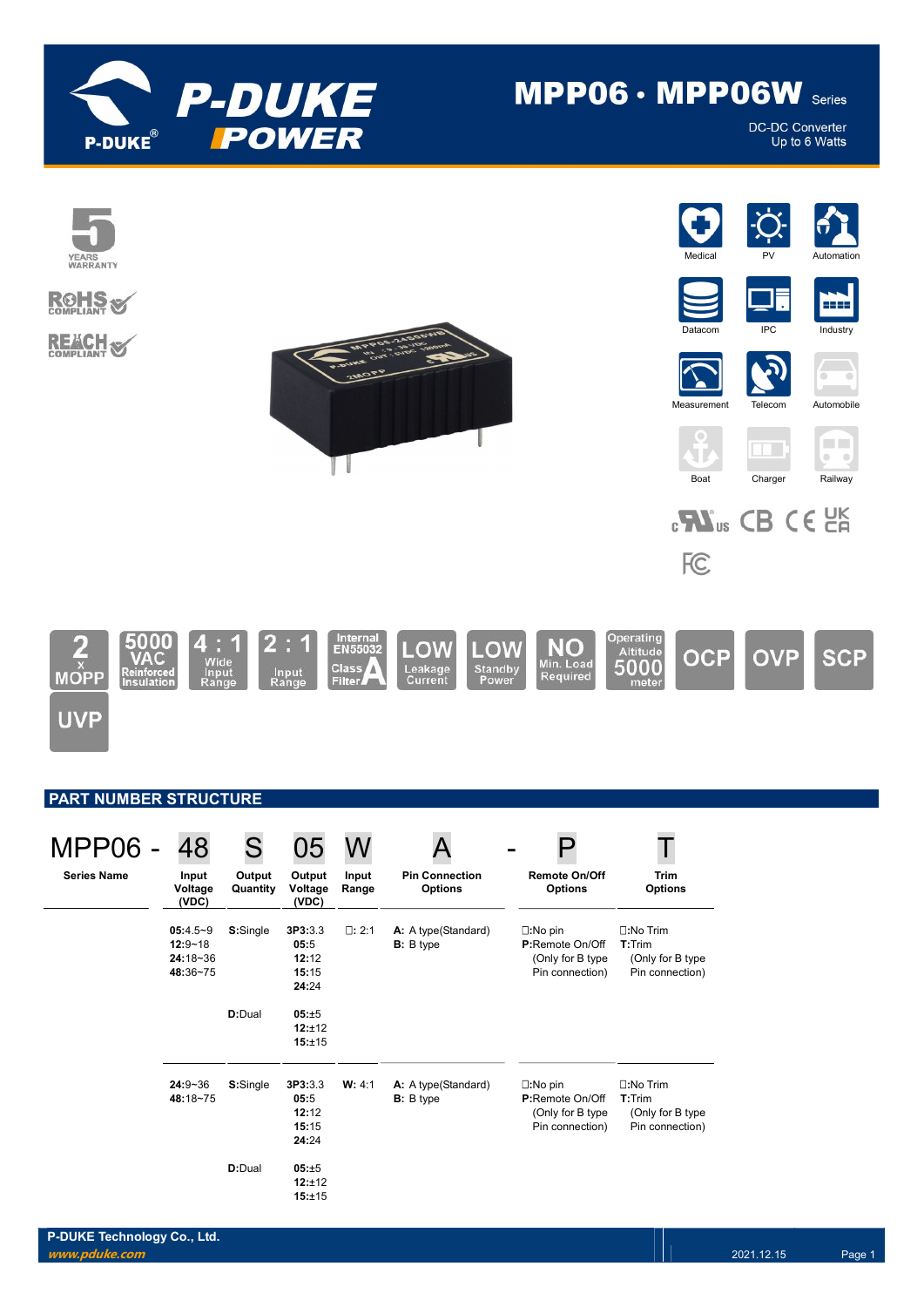

# MPP06 · MPP06W Series

**DC-DC Converter** Up to 6 Watts



| <b>MPP06 -</b>     | 48                                                  | S                  | 05                                         |                |                                          |                                                                             |                                                                      |
|--------------------|-----------------------------------------------------|--------------------|--------------------------------------------|----------------|------------------------------------------|-----------------------------------------------------------------------------|----------------------------------------------------------------------|
| <b>Series Name</b> | Input<br>Voltage<br>(VDC)                           | Output<br>Quantity | Output<br>Voltage<br>(VDC)                 | Input<br>Range | <b>Pin Connection</b><br><b>Options</b>  | <b>Remote On/Off</b><br><b>Options</b>                                      | <b>Trim</b><br><b>Options</b>                                        |
|                    | $05:4.5-9$<br>$12:9 - 18$<br>$24:18-36$<br>48:36~75 | S:Single           | 3P3:3.3<br>05:5<br>12:12<br>15:15<br>24:24 | $\Box: 2:1$    | A: A type(Standard)<br><b>B</b> : B type | $\square:$ No pin<br>P:Remote On/Off<br>(Only for B type<br>Pin connection) | $\square:$ No Trim<br>T:Trim<br>(Only for B type)<br>Pin connection) |
|                    |                                                     | D:Dual             | 05:±5<br>12:±12<br>15:±15                  |                |                                          |                                                                             |                                                                      |
|                    | $24:9 - 36$<br>48:18~75                             | S:Single           | 3P3:3.3<br>05:5<br>12:12<br>15:15<br>24:24 | W: 4:1         | A: A type(Standard)<br><b>B</b> : B type | $\square:$ No pin<br>P:Remote On/Off<br>(Only for B type<br>Pin connection) | $\square:$ No Trim<br>T:Trim<br>(Only for B type)<br>Pin connection) |
|                    |                                                     | D:Dual             | 05:±5<br>12:±12<br>15:±15                  |                |                                          |                                                                             |                                                                      |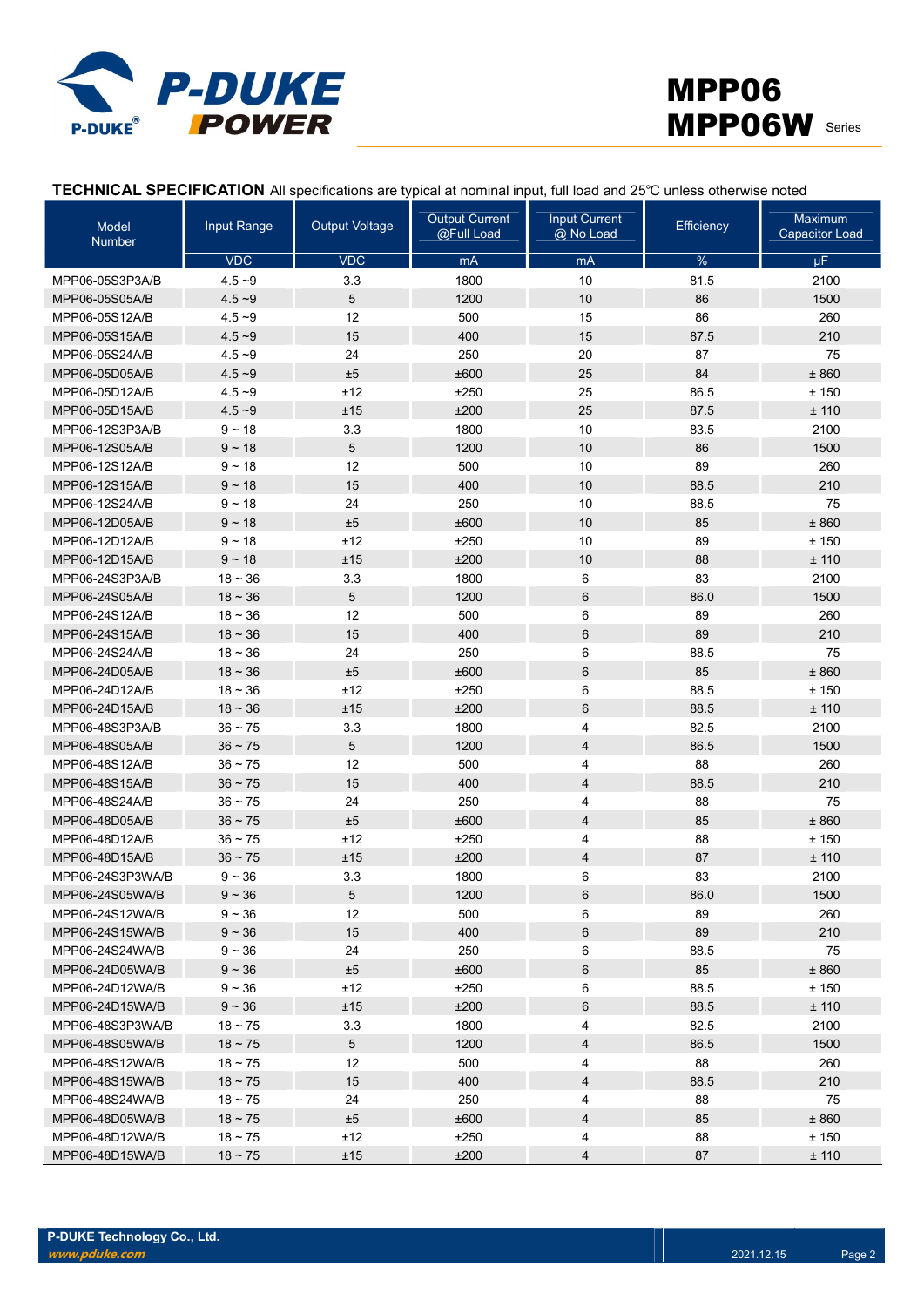



TECHNICAL SPECIFICATION All specifications are typical at nominal input, full load and 25℃ unless otherwise noted

| Model<br><b>Number</b> | <b>Input Range</b> | <b>Output Voltage</b> | <b>Output Current</b><br>@Full Load | <b>Input Current</b><br>@ No Load | <b>Efficiency</b> | Maximum<br><b>Capacitor Load</b> |
|------------------------|--------------------|-----------------------|-------------------------------------|-----------------------------------|-------------------|----------------------------------|
|                        | <b>VDC</b>         | <b>VDC</b>            | mA                                  | mA                                | $\%$              | $\mu$ F                          |
| MPP06-05S3P3A/B        | $4.5 - 9$          | 3.3                   | 1800                                | 10                                | 81.5              | 2100                             |
| MPP06-05S05A/B         | $4.5 - 9$          | $\sqrt{5}$            | 1200                                | 10                                | 86                | 1500                             |
| MPP06-05S12A/B         | $4.5 - 9$          | 12                    | 500                                 | 15                                | 86                | 260                              |
| MPP06-05S15A/B         | $4.5 - 9$          | 15                    | 400                                 | 15                                | 87.5              | 210                              |
| MPP06-05S24A/B         | $4.5 - 9$          | 24                    | 250                                 | 20                                | 87                | 75                               |
| MPP06-05D05A/B         | $4.5 - 9$          | ±5                    | ±600                                | 25                                | 84                | ±860                             |
| MPP06-05D12A/B         | $4.5 - 9$          | ±12                   | ±250                                | 25                                | 86.5              | ±150                             |
| MPP06-05D15A/B         | $4.5 - 9$          | ±15                   | ±200                                | 25                                | 87.5              | ± 110                            |
| MPP06-12S3P3A/B        | $9 - 18$           | 3.3                   | 1800                                | 10                                | 83.5              | 2100                             |
| MPP06-12S05A/B         | $9 - 18$           | $\sqrt{5}$            | 1200                                | 10                                | 86                | 1500                             |
| MPP06-12S12A/B         | $9 - 18$           | 12                    | 500                                 | 10                                | 89                | 260                              |
| MPP06-12S15A/B         | $9 - 18$           | 15                    | 400                                 | 10                                | 88.5              | 210                              |
| MPP06-12S24A/B         | $9 - 18$           | 24                    | 250                                 | 10                                | 88.5              | 75                               |
| MPP06-12D05A/B         | $9 - 18$           | ±5                    | ±600                                | 10                                | 85                | ±860                             |
| MPP06-12D12A/B         | $9 - 18$           | ±12                   | ±250                                | 10                                | 89                | ±150                             |
| MPP06-12D15A/B         | $9 - 18$           | ±15                   | ±200                                | 10                                | 88                | ± 110                            |
| MPP06-24S3P3A/B        | $18 - 36$          | 3.3                   | 1800                                | 6                                 | 83                | 2100                             |
| MPP06-24S05A/B         | $18 - 36$          | $\sqrt{5}$            | 1200                                | 6                                 | 86.0              | 1500                             |
| MPP06-24S12A/B         | $18 - 36$          | 12                    | 500                                 | 6                                 | 89                | 260                              |
| MPP06-24S15A/B         | $18 - 36$          | 15                    | 400                                 | 6                                 | 89                | 210                              |
| MPP06-24S24A/B         | $18 - 36$          | 24                    | 250                                 | 6                                 | 88.5              | 75                               |
| MPP06-24D05A/B         | $18 - 36$          | ±5                    | ±600                                | 6                                 | 85                | ±860                             |
| MPP06-24D12A/B         | $18 - 36$          | ±12                   | ±250                                | 6                                 | 88.5              | ±150                             |
| MPP06-24D15A/B         | $18 - 36$          | ±15                   | ±200                                | 6                                 | 88.5              | ± 110                            |
| MPP06-48S3P3A/B        | $36 - 75$          | 3.3                   | 1800                                | 4                                 | 82.5              | 2100                             |
| MPP06-48S05A/B         | $36 - 75$          | $\sqrt{5}$            | 1200                                | 4                                 | 86.5              | 1500                             |
| MPP06-48S12A/B         | $36 - 75$          | 12                    | 500                                 | 4                                 | 88                | 260                              |
| MPP06-48S15A/B         | $36 - 75$          | 15                    | 400                                 | 4                                 | 88.5              | 210                              |
| MPP06-48S24A/B         | $36 - 75$          | 24                    | 250                                 | 4                                 | 88                | 75                               |
| MPP06-48D05A/B         | $36 - 75$          | ±5                    | ±600                                | 4                                 | 85                | ±860                             |
| MPP06-48D12A/B         | 36 ~ 75            | ±12                   | ±250                                | 4                                 | 88                | ± 150                            |
| MPP06-48D15A/B         | $36 - 75$          | ±15                   | ±200                                | 4                                 | 87                | ± 110                            |
| MPP06-24S3P3WA/B       | $9 - 36$           | 3.3                   | 1800                                | 6                                 | 83                | 2100                             |
| MPP06-24S05WA/B        | $9 - 36$           | 5                     | 1200                                | 6                                 | 86.0              | 1500                             |
| MPP06-24S12WA/B        | $9 - 36$           | 12                    | 500                                 | 6                                 | 89                | 260                              |
| MPP06-24S15WA/B        | $9 - 36$           | 15                    | 400                                 | 6                                 | 89                | 210                              |
| MPP06-24S24WA/B        | $9 - 36$           | 24                    | 250                                 | 6                                 | 88.5              | 75                               |
| MPP06-24D05WA/B        | $9 - 36$           | ±5                    | ±600                                | 6                                 | 85                | ± 860                            |
| MPP06-24D12WA/B        | $9 - 36$           | ±12                   | ±250                                | 6                                 | 88.5              | ± 150                            |
| MPP06-24D15WA/B        | $9 - 36$           | ±15                   | ±200                                | 6                                 | 88.5              | ±110                             |
| MPP06-48S3P3WA/B       | $18 - 75$          | 3.3                   | 1800                                | 4                                 | 82.5              | 2100                             |
| MPP06-48S05WA/B        | $18 \sim 75$       | $5\phantom{.0}$       | 1200                                | 4                                 | 86.5              | 1500                             |
| MPP06-48S12WA/B        | $18 - 75$          | 12                    | 500                                 | 4                                 | 88                | 260                              |
| MPP06-48S15WA/B        | $18 \sim 75$       | 15                    | 400                                 | 4                                 | 88.5              | 210                              |
| MPP06-48S24WA/B        | $18 - 75$          | 24                    | 250                                 | 4                                 | 88                | 75                               |
| MPP06-48D05WA/B        | $18 \sim 75$       | ±5                    | ±600                                | 4                                 | 85                | ± 860                            |
| MPP06-48D12WA/B        | $18 - 75$          | ±12                   | ±250                                | 4                                 | 88                | ±150                             |
| MPP06-48D15WA/B        | $18 \sim 75$       | ±15                   | ±200                                | 4                                 | 87                | ± 110                            |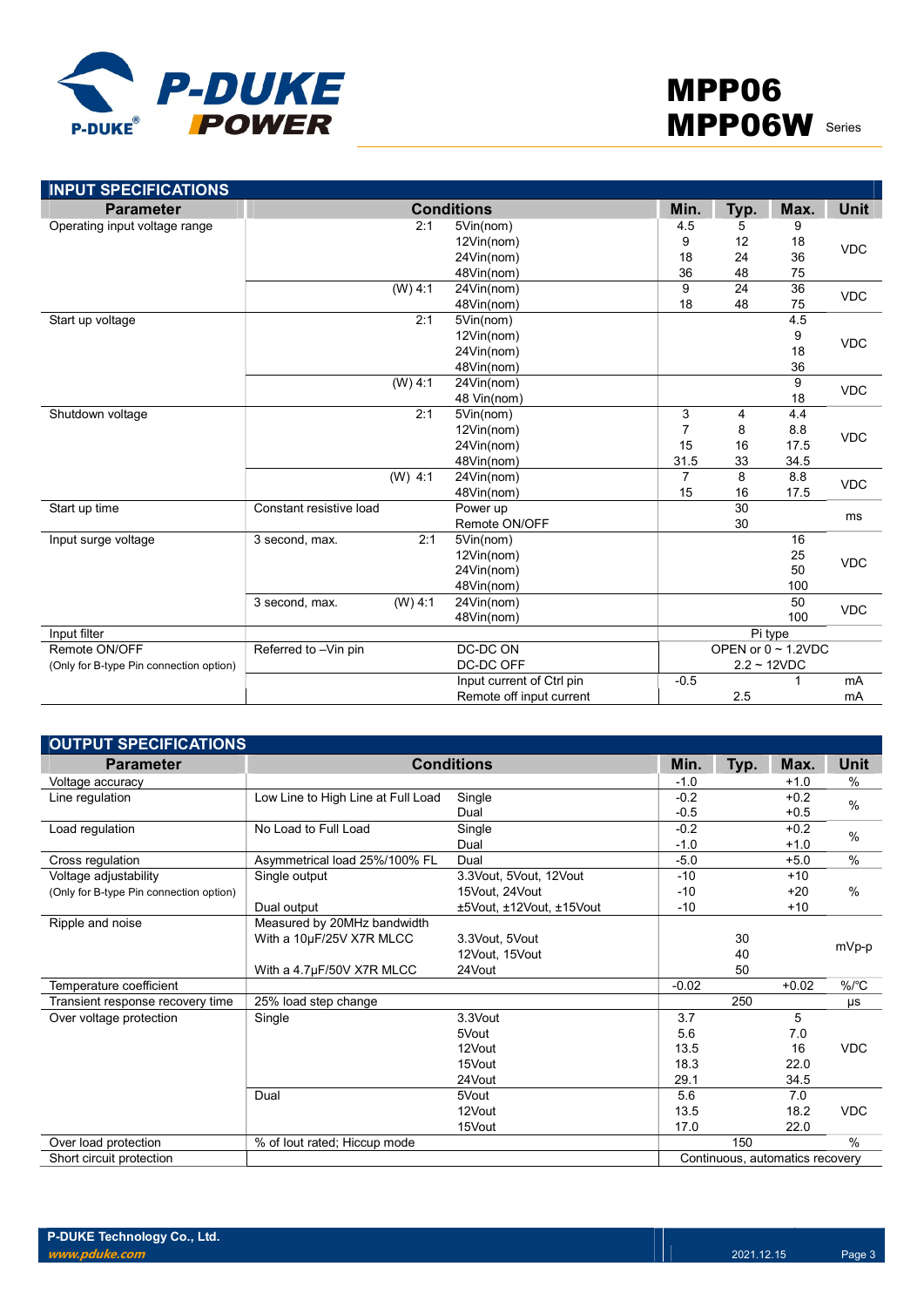

| <b>INPUT SPECIFICATIONS</b>             |                             |                           |                |      |                          |             |  |
|-----------------------------------------|-----------------------------|---------------------------|----------------|------|--------------------------|-------------|--|
| <b>Parameter</b>                        |                             | <b>Conditions</b>         | Min.           | Typ. | Max.                     | <b>Unit</b> |  |
| Operating input voltage range           | 2:1                         | 5Vin(nom)                 | 4.5            | 5    | 9                        |             |  |
|                                         |                             | 12Vin(nom)                | 9              | 12   | 18                       | <b>VDC</b>  |  |
|                                         |                             | 24Vin(nom)                | 18             | 24   | 36                       |             |  |
|                                         |                             | 48Vin(nom)                | 36             | 48   | 75                       |             |  |
|                                         | (W) 4:1                     | 24Vin(nom)                | 9              | 24   | $\overline{36}$          | <b>VDC</b>  |  |
|                                         |                             | 48Vin(nom)                | 18             | 48   | 75                       |             |  |
| Start up voltage                        | 2:1                         | 5Vin(nom)                 |                |      | 4.5                      |             |  |
|                                         |                             | 12Vin(nom)                |                |      | 9                        | <b>VDC</b>  |  |
|                                         |                             | 24Vin(nom)                |                |      | 18                       |             |  |
|                                         |                             | 48Vin(nom)                |                |      | 36                       |             |  |
|                                         | (W) 4:1                     | 24Vin(nom)                |                |      | 9                        | <b>VDC</b>  |  |
|                                         |                             | 48 Vin(nom)               |                |      | 18                       |             |  |
| Shutdown voltage                        | 2:1                         | 5Vin(nom)                 | $\mathbf{3}$   | 4    | 4.4                      |             |  |
|                                         |                             | 12Vin(nom)                | $\overline{7}$ | 8    | 8.8                      | <b>VDC</b>  |  |
|                                         |                             | 24Vin(nom)                | 15             | 16   | 17.5                     |             |  |
|                                         |                             | 48Vin(nom)                | 31.5           | 33   | 34.5                     |             |  |
|                                         | $(W)$ 4:1                   | 24Vin(nom)                | $\overline{7}$ | 8    | 8.8                      | <b>VDC</b>  |  |
|                                         |                             | 48Vin(nom)                | 15             | 16   | 17.5                     |             |  |
| Start up time                           | Constant resistive load     | Power up                  |                | 30   |                          |             |  |
|                                         |                             | Remote ON/OFF             |                | 30   |                          | ms          |  |
| Input surge voltage                     | 2:1<br>3 second, max.       | 5Vin(nom)                 |                |      | 16                       |             |  |
|                                         |                             | 12Vin(nom)                |                |      | 25                       | <b>VDC</b>  |  |
|                                         |                             | 24Vin(nom)                |                |      | 50                       |             |  |
|                                         |                             | 48Vin(nom)                |                |      | 100                      |             |  |
|                                         | $(W)$ 4:1<br>3 second, max. | 24Vin(nom)                |                |      | 50                       | <b>VDC</b>  |  |
|                                         |                             | 48Vin(nom)                |                |      | 100                      |             |  |
| Input filter                            |                             |                           |                |      | Pi type                  |             |  |
| Remote ON/OFF                           | Referred to -Vin pin        | DC-DC ON                  |                |      | OPEN or $0 \sim 1.2$ VDC |             |  |
| (Only for B-type Pin connection option) |                             | DC-DC OFF                 | $2.2 - 12VDC$  |      |                          |             |  |
|                                         |                             | Input current of Ctrl pin | $-0.5$         |      |                          | mA          |  |
|                                         |                             | Remote off input current  |                | 2.5  |                          | mA          |  |

| <b>OUTPUT SPECIFICATIONS</b>            |                                    |                          |         |      |                                 |               |
|-----------------------------------------|------------------------------------|--------------------------|---------|------|---------------------------------|---------------|
| <b>Parameter</b>                        |                                    | <b>Conditions</b>        | Min.    | Typ. | Max.                            | Unit          |
| Voltage accuracy                        |                                    |                          | $-1.0$  |      | $+1.0$                          | %             |
| Line regulation                         | Low Line to High Line at Full Load | Single                   | $-0.2$  |      | $+0.2$                          | $\%$          |
|                                         |                                    | Dual                     | $-0.5$  |      | $+0.5$                          |               |
| Load regulation                         | No Load to Full Load               | Single                   | $-0.2$  |      | $+0.2$                          | $\%$          |
|                                         |                                    | Dual                     | $-1.0$  |      | $+1.0$                          |               |
| Cross regulation                        | Asymmetrical load 25%/100% FL      | Dual                     | $-5.0$  |      | $+5.0$                          | $\frac{0}{0}$ |
| Voltage adjustability                   | Single output                      | 3.3Vout, 5Vout, 12Vout   | $-10$   |      | $+10$                           |               |
| (Only for B-type Pin connection option) |                                    | 15Vout, 24Vout           | $-10$   |      | $+20$                           | $\%$          |
|                                         | Dual output                        | ±5Vout, ±12Vout, ±15Vout | $-10$   |      | $+10$                           |               |
| Ripple and noise                        | Measured by 20MHz bandwidth        |                          |         |      |                                 |               |
|                                         | With a 10µF/25V X7R MLCC           | 3.3Vout, 5Vout           |         | 30   |                                 |               |
|                                         |                                    | 12Vout. 15Vout           |         | 40   |                                 | mVp-p         |
|                                         | With a 4.7µF/50V X7R MLCC          | 24Vout                   |         | 50   |                                 |               |
| Temperature coefficient                 |                                    |                          | $-0.02$ |      | $+0.02$                         | %/°C          |
| Transient response recovery time        | 25% load step change               |                          |         | 250  |                                 | μs            |
| Over voltage protection                 | Single                             | 3.3Vout                  | 3.7     |      | 5                               |               |
|                                         |                                    | 5Vout                    | 5.6     |      | 7.0                             |               |
|                                         |                                    | 12Vout                   | 13.5    |      | 16                              | <b>VDC</b>    |
|                                         |                                    | 15Vout                   | 18.3    |      | 22.0                            |               |
|                                         |                                    | 24Vout                   | 29.1    |      | 34.5                            |               |
|                                         | Dual                               | 5Vout                    | 5.6     |      | 7.0                             |               |
|                                         |                                    | 12Vout                   | 13.5    |      | 18.2                            | <b>VDC</b>    |
|                                         |                                    | 15Vout                   | 17.0    |      | 22.0                            |               |
| Over load protection                    | % of lout rated; Hiccup mode       |                          |         | 150  |                                 | $\%$          |
| Short circuit protection                |                                    |                          |         |      | Continuous, automatics recovery |               |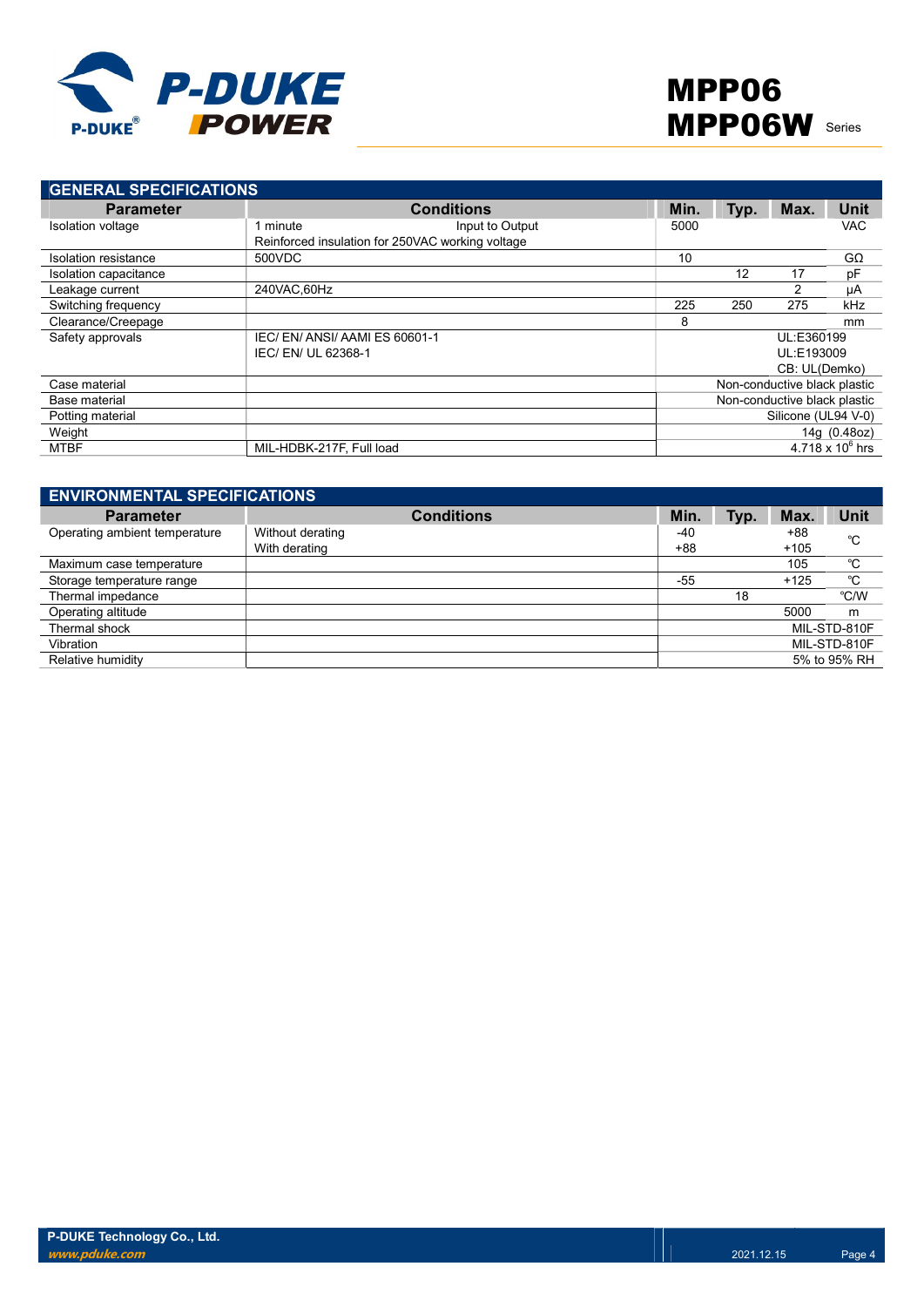

| <b>GENERAL SPECIFICATIONS</b> |                                                  |                              |      |               |                         |
|-------------------------------|--------------------------------------------------|------------------------------|------|---------------|-------------------------|
| <b>Parameter</b>              | <b>Conditions</b>                                | Min.                         | Typ. | Max.          | Unit                    |
| Isolation voltage             | Input to Output<br>minute                        | 5000                         |      |               | <b>VAC</b>              |
|                               | Reinforced insulation for 250VAC working voltage |                              |      |               |                         |
| Isolation resistance          | 500VDC                                           | 10                           |      |               | $G\Omega$               |
| Isolation capacitance         |                                                  |                              | 12   | 17            | pF                      |
| Leakage current               | 240VAC.60Hz                                      |                              |      | $\mathcal{P}$ | μA                      |
| Switching frequency           |                                                  | 225                          | 250  | 275           | kHz                     |
| Clearance/Creepage            |                                                  | 8                            |      |               | mm                      |
| Safety approvals              | IEC/EN/ANSI/AAMIES 60601-1                       |                              |      | UL:E360199    |                         |
|                               | IEC/ EN/ UL 62368-1                              |                              |      | UL:E193009    |                         |
|                               |                                                  |                              |      | CB: UL(Demko) |                         |
| Case material                 |                                                  | Non-conductive black plastic |      |               |                         |
| Base material                 |                                                  | Non-conductive black plastic |      |               |                         |
| Potting material              |                                                  | Silicone (UL94 V-0)          |      |               |                         |
| Weight                        |                                                  |                              |      |               | 14g (0.48oz)            |
| MTBF                          | MIL-HDBK-217F, Full load                         |                              |      |               | $4.718 \times 10^6$ hrs |

| <b>ENVIRONMENTAL SPECIFICATIONS</b> |                                   |              |      |                 |              |
|-------------------------------------|-----------------------------------|--------------|------|-----------------|--------------|
| <b>Parameter</b>                    | <b>Conditions</b>                 | Min.         | Typ. | Max.            | <b>Unit</b>  |
| Operating ambient temperature       | Without derating<br>With derating | -40<br>$+88$ |      | $+88$<br>$+105$ | °C           |
| Maximum case temperature            |                                   |              |      | 105             | °C           |
| Storage temperature range           |                                   | $-55$        |      | $+125$          | °C           |
| Thermal impedance                   |                                   |              | 18   |                 | °C/W         |
| Operating altitude                  |                                   |              |      | 5000            | m            |
| Thermal shock                       |                                   |              |      |                 | MIL-STD-810F |
| Vibration                           |                                   |              |      |                 | MIL-STD-810F |
| Relative humidity                   |                                   |              |      |                 | 5% to 95% RH |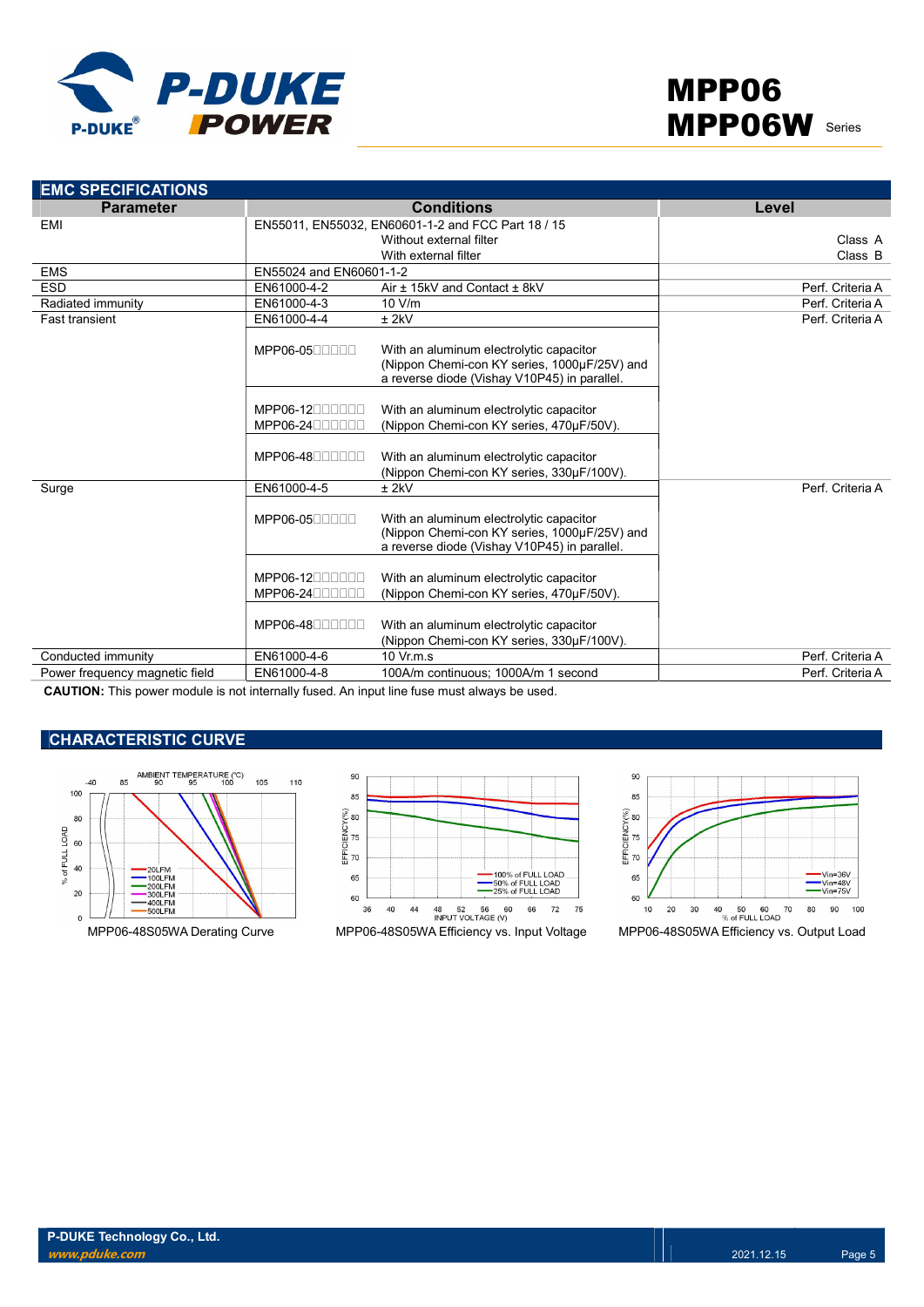

| <b>Parameter</b>               |                                | <b>Conditions</b>                                                                                                                       | Level            |
|--------------------------------|--------------------------------|-----------------------------------------------------------------------------------------------------------------------------------------|------------------|
| EMI                            |                                | EN55011, EN55032, EN60601-1-2 and FCC Part 18 / 15                                                                                      |                  |
|                                |                                | Without external filter                                                                                                                 | Class A          |
|                                |                                | With external filter                                                                                                                    | Class B          |
| <b>EMS</b>                     | EN55024 and EN60601-1-2        |                                                                                                                                         |                  |
| <b>ESD</b>                     | EN61000-4-2                    | Air ± 15kV and Contact ± 8kV                                                                                                            | Perf. Criteria A |
| Radiated immunity              | EN61000-4-3                    | 10 V/m                                                                                                                                  | Perf. Criteria A |
| <b>Fast transient</b>          | EN61000-4-4                    | $±$ 2kV                                                                                                                                 | Perf. Criteria A |
|                                | MPP06-0500000                  | With an aluminum electrolytic capacitor<br>(Nippon Chemi-con KY series, 1000µF/25V) and<br>a reverse diode (Vishay V10P45) in parallel. |                  |
|                                | MPP06-1200000<br>MPP06-2400000 | With an aluminum electrolytic capacitor<br>(Nippon Chemi-con KY series, 470µF/50V).                                                     |                  |
|                                | $MPP06-48$                     | With an aluminum electrolytic capacitor<br>(Nippon Chemi-con KY series, 330µF/100V).                                                    |                  |
| Surge                          | EN61000-4-5                    | $±$ 2kV                                                                                                                                 | Perf. Criteria A |
|                                | MPP06-0500000                  | With an aluminum electrolytic capacitor<br>(Nippon Chemi-con KY series, 1000µF/25V) and<br>a reverse diode (Vishay V10P45) in parallel. |                  |
|                                | $MPP06-12$<br>MPP06-24000000   | With an aluminum electrolytic capacitor<br>(Nippon Chemi-con KY series, 470µF/50V).                                                     |                  |
|                                | MPP06-48000000                 | With an aluminum electrolytic capacitor<br>(Nippon Chemi-con KY series, 330µF/100V).                                                    |                  |
| Conducted immunity             | EN61000-4-6                    | $10 \text{ Vr} \text{m} \text{ s}$                                                                                                      | Perf. Criteria A |
| Power frequency magnetic field | EN61000-4-8                    | 100A/m continuous; 1000A/m 1 second                                                                                                     | Perf. Criteria A |

CAUTION: This power module is not internally fused. An input line fuse must always be used.

## CHARACTERISTIC CURVE





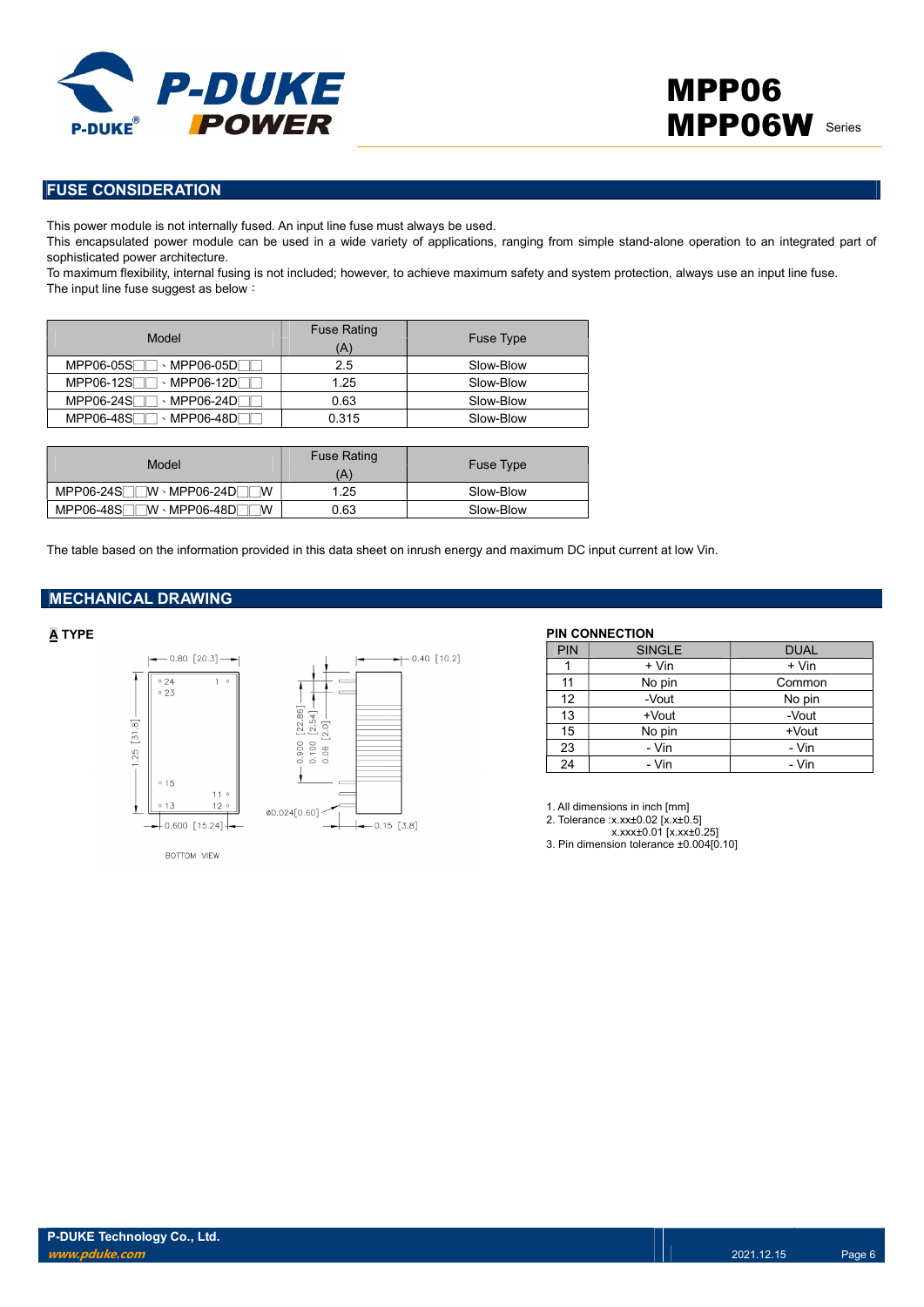

### FUSE CONSIDERATION

This power module is not internally fused. An input line fuse must always be used.

This encapsulated power module can be used in a wide variety of applications, ranging from simple stand-alone operation to an integrated part of sophisticated power architecture.

To maximum flexibility, internal fusing is not included; however, to achieve maximum safety and system protection, always use an input line fuse. The input line fuse suggest as below:

| Model                                                    | <b>Fuse Rating</b><br>Ά | Fuse Type |
|----------------------------------------------------------|-------------------------|-----------|
| MPP06-05SL<br>$\cdot$ MPP06-05DF                         | 2.5                     | Slow-Blow |
| $MPP06-12S$<br>$\cdot$ MPP06-12DF                        | 1.25                    | Slow-Blow |
| MPP06-24SF<br>$\cdot$ MPP06-24D[                         | 0.63                    | Slow-Blow |
| MPP06-48SF<br>$\cdot$ MPP06-48D $\overline{\phantom{a}}$ | 0.315                   | Slow-Blow |

| Model                                              | <b>Fuse Rating</b><br>`A` | <b>Fuse Type</b> |
|----------------------------------------------------|---------------------------|------------------|
| $MPP06-24S$ $\neg$ $\neg$ $W \cdot MPP06-24D$<br>W | 1.25                      | Slow-Blow        |
| $MPP06-48S$<br>™ · MPP06-48DF<br>W                 | 0.63                      | Slow-Blow        |

The table based on the information provided in this data sheet on inrush energy and maximum DC input current at low Vin.

#### MECHANICAL DRAWING



BOTTOM VIEW



A TYPE PIN CONNECTION

| <b>PIN</b> | <b>SINGLE</b> | <b>DUAL</b> |
|------------|---------------|-------------|
|            | + Vin         | + Vin       |
| 11         | No pin        | Common      |
| 12         | -Vout         | No pin      |
| 13         | +Vout         | -Vout       |
| 15         | No pin        | $+$ Vout    |
| 23         | - Vin         | - Vin       |
| 24         | - Vin         | - Vin       |

1. All dimensions in inch [mm]

2. Tolerance :x.xx±0.02 [x.x±0.5]

x.xxx±0.01 [x.xx±0.25] 3. Pin dimension tolerance ±0.004[0.10]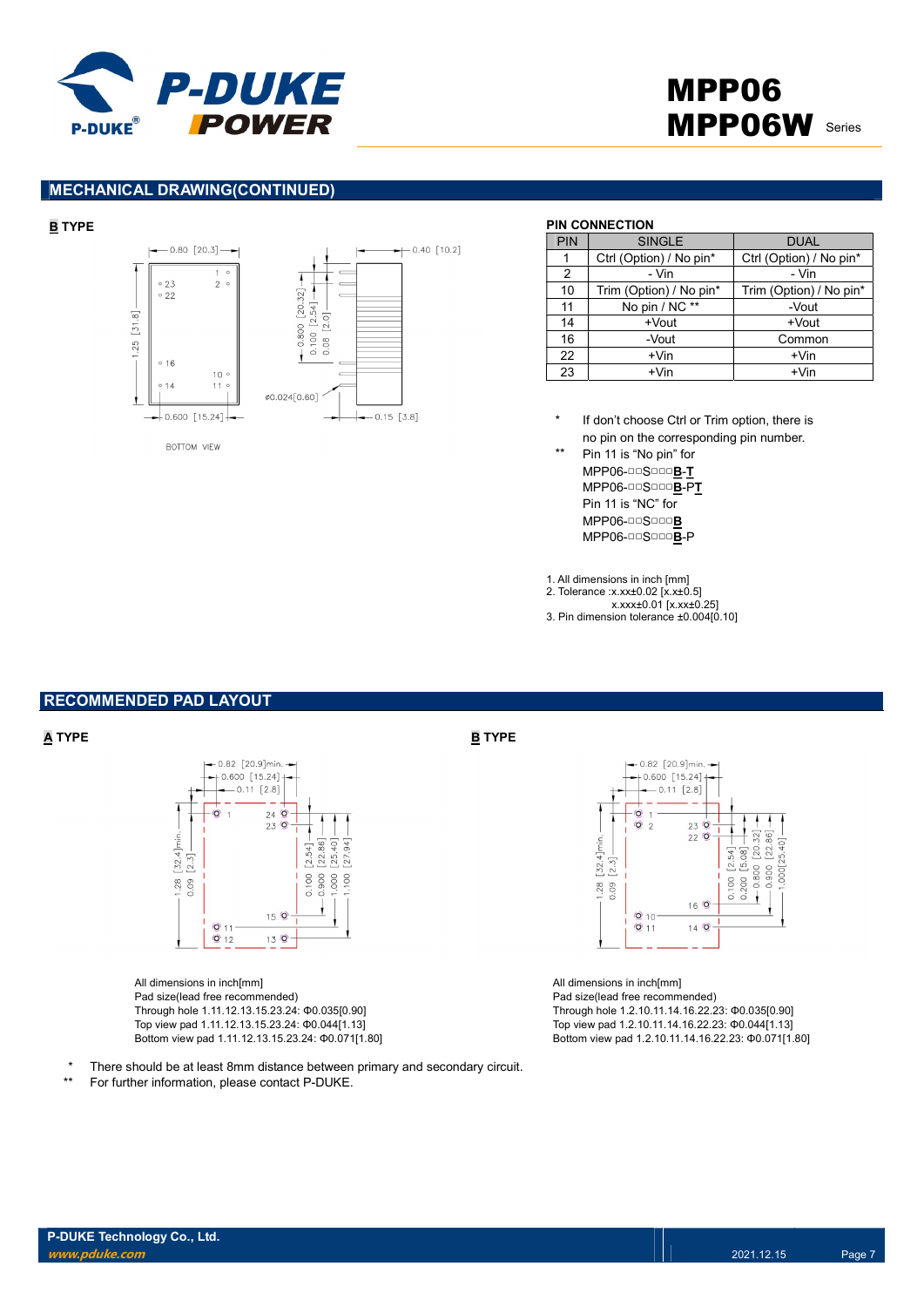



### MECHANICAL DRAWING(CONTINUED)



#### BOTTOM VIEW

#### B TYPE PIN CONNECTION

| PIN            | <b>SINGLE</b>           | <b>DUAL</b>             |
|----------------|-------------------------|-------------------------|
|                | Ctrl (Option) / No pin* | Ctrl (Option) / No pin* |
| $\mathfrak{p}$ | - Vin                   | - Vin                   |
| 10             | Trim (Option) / No pin* | Trim (Option) / No pin* |
| 11             | No pin / NC **          | -Vout                   |
| 14             | +Vout                   | +Vout                   |
| 16             | -Vout                   | Common                  |
| 22             | $+V$ in                 | $+V$ in                 |
| 23             | $+V$ in                 | $+V$ in                 |

\* If don't choose Ctrl or Trim option, there is no pin on the corresponding pin number.

\*\* Pin 11 is "No pin" for MPP06-□□S□□□B-T MPP06-□□S□□□B-PT Pin 11 is "NC" for MPP06-□□S□□□B MPP06-□□S□□□B-P

1. All dimensions in inch [mm]

2. Tolerance :x.xx±0.02 [x.x±0.5]

- x.xxx±0.01 [x.xx±0.25] 3. Pin dimension tolerance ±0.004[0.10]
- 

#### RECOMMENDED PAD LAYOUT



All dimensions in inch[mm] Pad size(lead free recommended) Through hole 1.11.12.13.15.23.24: Φ0.035[0.90] Top view pad 1.11.12.13.15.23.24: Φ0.044[1.13] Bottom view pad 1.11.12.13.15.23.24: Φ0.071[1.80]

\* There should be at least 8mm distance between primary and secondary circuit.

For further information, please contact P-DUKE.

#### $\overline{\mathbf{A}}$  TYPE  $\overline{\mathbf{B}}$  TYPE



All dimensions in inch[mm] Pad size(lead free recommended) Through hole 1.2.10.11.14.16.22.23: Φ0.035[0.90] Top view pad 1.2.10.11.14.16.22.23: Φ0.044[1.13] Bottom view pad 1.2.10.11.14.16.22.23: Φ0.071[1.80]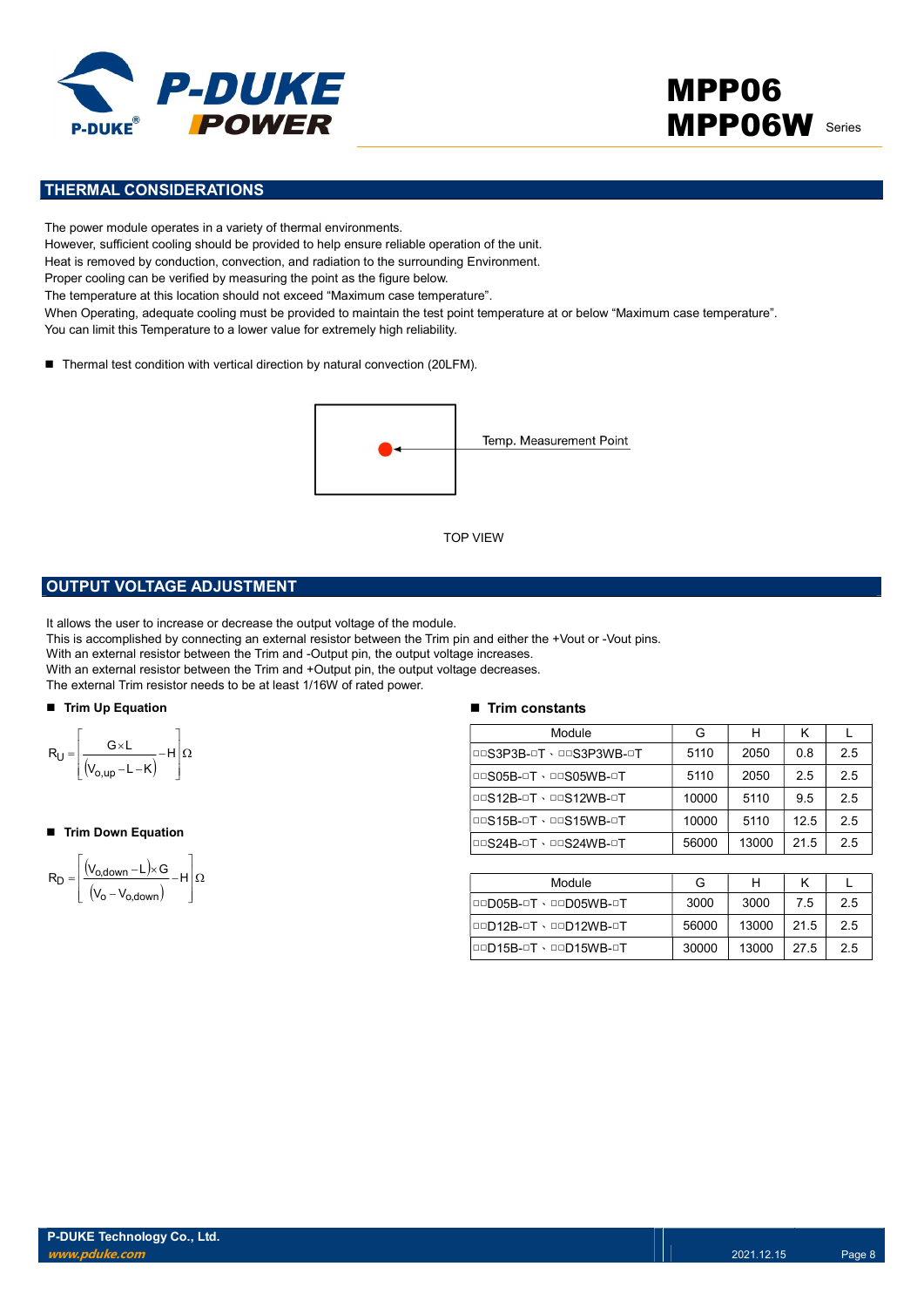

# MPP06 **MPP06W** Series

## THERMAL CONSIDERATIONS

The power module operates in a variety of thermal environments. However, sufficient cooling should be provided to help ensure reliable operation of the unit. Heat is removed by conduction, convection, and radiation to the surrounding Environment. Proper cooling can be verified by measuring the point as the figure below. The temperature at this location should not exceed "Maximum case temperature". When Operating, adequate cooling must be provided to maintain the test point temperature at or below "Maximum case temperature". You can limit this Temperature to a lower value for extremely high reliability.

■ Thermal test condition with vertical direction by natural convection (20LFM).



### OUTPUT VOLTAGE ADJUSTMENT

It allows the user to increase or decrease the output voltage of the module.

This is accomplished by connecting an external resistor between the Trim pin and either the +Vout or -Vout pins.

With an external resistor between the Trim and -Output pin, the output voltage increases.

With an external resistor between the Trim and +Output pin, the output voltage decreases.

The external Trim resistor needs to be at least 1/16W of rated power.

#### ■ Trim Up Equation



#### ■ Trim Down Equation

$$
R_D=\!\left[\!\!\begin{array}{c} \displaystyle \left(\!V_{o,\text{down}}\!-\!L\right)\!\times\! G\\ \displaystyle \left(\!V_o\!-\!V_{o,\text{down}}\!\right)\end{array}\!\!\!\!-\!H\right]\!\Omega
$$

#### $\blacksquare$  Trim constants

|                                                                                                                                                                                                                                                                                                                                                                                                                                   | <b>TOP VIEW</b>               |       |       |      |              |
|-----------------------------------------------------------------------------------------------------------------------------------------------------------------------------------------------------------------------------------------------------------------------------------------------------------------------------------------------------------------------------------------------------------------------------------|-------------------------------|-------|-------|------|--------------|
| <b>PUT VOLTAGE ADJUSTMENT</b>                                                                                                                                                                                                                                                                                                                                                                                                     |                               |       |       |      |              |
| s the user to increase or decrease the output voltage of the module.<br>accomplished by connecting an external resistor between the Trim pin and either the +Vout or -Vout pins.<br>n external resistor between the Trim and -Output pin, the output voltage increases.<br>1 external resistor between the Trim and +Output pin, the output voltage decreases.<br>ternal Trim resistor needs to be at least 1/16W of rated power. |                               |       |       |      |              |
| n Up Equation                                                                                                                                                                                                                                                                                                                                                                                                                     | $\blacksquare$ Trim constants |       |       |      |              |
|                                                                                                                                                                                                                                                                                                                                                                                                                                   | Module                        | G     | H     | K    | $\mathbf{L}$ |
| $\frac{G\times L}{(V_{o,up}-L-K)}-H\left \Omega\right $                                                                                                                                                                                                                                                                                                                                                                           | DOS3P3B-OT · DOS3P3WB-OT      | 5110  | 2050  | 0.8  | 2.5          |
|                                                                                                                                                                                                                                                                                                                                                                                                                                   | <b>DOS05B-OT · DOS05WB-OT</b> | 5110  | 2050  | 2.5  | 2.5          |
|                                                                                                                                                                                                                                                                                                                                                                                                                                   | <b>DOS12B-OT · DOS12WB-OT</b> | 10000 | 5110  | 9.5  | 2.5          |
| n Down Equation                                                                                                                                                                                                                                                                                                                                                                                                                   | <b>DOS15B-OT · DOS15WB-OT</b> | 10000 | 5110  | 12.5 | 2.5          |
|                                                                                                                                                                                                                                                                                                                                                                                                                                   | <b>DOS24B-OT · DOS24WB-OT</b> | 56000 | 13000 | 21.5 | 2.5          |
| $\frac{(V_{o,\text{down}} - L) \times G}{(V_o - V_{o,\text{down}})} - H\left[\Omega\right]$                                                                                                                                                                                                                                                                                                                                       |                               |       |       |      |              |
|                                                                                                                                                                                                                                                                                                                                                                                                                                   | Module                        | G     | H     | K    | L            |
|                                                                                                                                                                                                                                                                                                                                                                                                                                   | <b>OOD05B-OT · OOD05WB-OT</b> | 3000  | 3000  | 7.5  | 2.5          |
|                                                                                                                                                                                                                                                                                                                                                                                                                                   | <b>OOD12B-OT · OOD12WB-OT</b> | 56000 | 13000 | 21.5 | 2.5          |
|                                                                                                                                                                                                                                                                                                                                                                                                                                   | 00D15B-0T · 00D15WB-0T        | 30000 | 13000 | 27.5 | 2.5          |
|                                                                                                                                                                                                                                                                                                                                                                                                                                   |                               |       |       |      |              |

| Module                 | G     |       |      |    |
|------------------------|-------|-------|------|----|
| 00005B-0T · 00005WB-0T | 3000  | 3000  | 7.5  | 25 |
| 00D12B-0T \ 00D12WB-0T | 56000 | 13000 | 21.5 | 25 |
| 00D15B-0T \ 00D15WB-0T | 30000 | 13000 | 27.5 | 25 |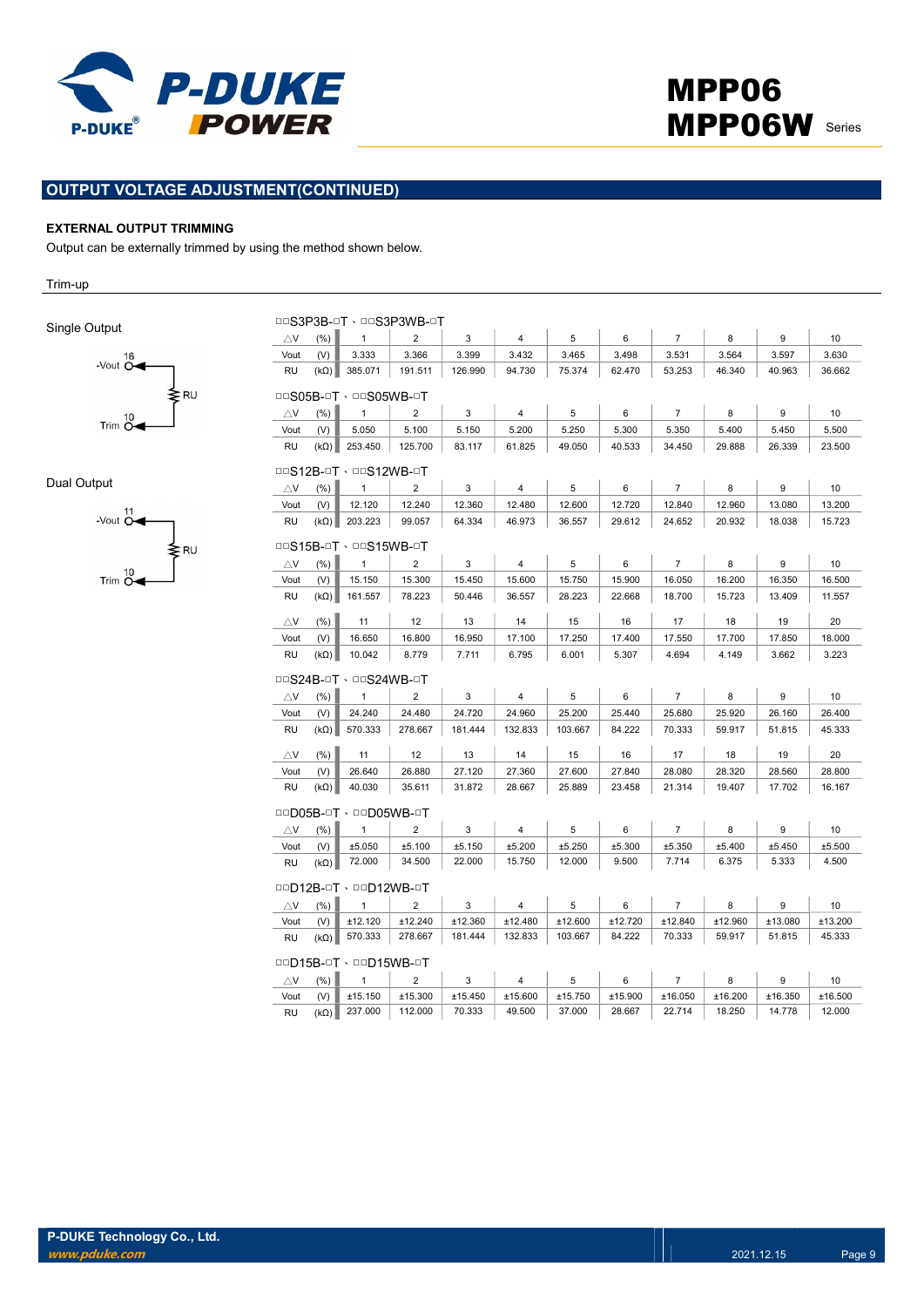

## OUTPUT VOLTAGE ADJUSTMENT(CONTINUED)

#### EXTERNAL OUTPUT TRIMMING

Output can be externally trimmed by using the method shown below.

Trim-up

Single Output



Dual Output



|                               |                               |                               | <b>DOS3P3B-OT · DOS3P3WB-OT</b> |         |                |         |         |                |         |         |         |
|-------------------------------|-------------------------------|-------------------------------|---------------------------------|---------|----------------|---------|---------|----------------|---------|---------|---------|
| $\triangle$ V                 | (% )                          | $\mathbf{1}$                  | $\overline{2}$                  | 3       | 4              | 5       | 6       | $\overline{7}$ | 8       | 9       | 10      |
| Vout                          | (V)                           | 3.333                         | 3.366                           | 3.399   | 3.432          | 3.465   | 3.498   | 3.531          | 3.564   | 3.597   | 3.630   |
| <b>RU</b>                     |                               | $(k\Omega)$ 385.071           | 191.511                         | 126.990 | 94.730         | 75.374  | 62.470  | 53.253         | 46.340  | 40.963  | 36.662  |
|                               | <b>DOS05B-OT · DOS05WB-OT</b> |                               |                                 |         |                |         |         |                |         |         |         |
| $\triangle$ V                 | (% )                          | $\mathbf{1}$                  | $\overline{2}$                  | 3       | 4              | 5       | 6       | $\overline{7}$ | 8       | 9       | 10      |
| Vout                          | (V)                           | 5.050                         | 5.100                           | 5.150   | 5.200          | 5.250   | 5.300   | 5.350          | 5.400   | 5.450   | 5.500   |
| <b>RU</b>                     |                               | $(k\Omega)$ 253.450           | 125.700                         | 83.117  | 61.825         | 49.050  | 40.533  | 34.450         | 29.888  | 26.339  | 23.500  |
|                               |                               | <b>DOS12B-OT · DOS12WB-OT</b> |                                 |         |                |         |         |                |         |         |         |
| $\triangle$ V                 | (%)                           | $\mathbf{1}$                  | $\overline{2}$                  | 3       | 4              | 5       | 6       | $\overline{7}$ | 8       | 9       | 10      |
| Vout                          | (V)                           | 12.120                        | 12.240                          | 12.360  | 12.480         | 12.600  | 12.720  | 12.840         | 12.960  | 13.080  | 13.200  |
| <b>RU</b>                     |                               | $(k\Omega)$ 203.223           | 99.057                          | 64.334  | 46.973         | 36.557  | 29.612  | 24.652         | 20.932  | 18.038  | 15.723  |
|                               |                               | <b>DOS15B-OT · DOS15WB-OT</b> |                                 |         |                |         |         |                |         |         |         |
| $\triangle$ V                 | (%)                           | $\mathbf{1}$                  | $\overline{2}$                  | 3       | $\overline{4}$ | 5       | 6       | $\overline{7}$ | 8       | 9       | 10      |
| Vout                          | (V)                           | 15.150                        | 15.300                          | 15.450  | 15.600         | 15.750  | 15.900  | 16.050         | 16.200  | 16.350  | 16.500  |
| <b>RU</b>                     | $(k\Omega)$                   | 161.557                       | 78.223                          | 50.446  | 36.557         | 28.223  | 22.668  | 18.700         | 15.723  | 13.409  | 11.557  |
| $\triangle$ V                 | (% )                          | 11                            | 12                              | 13      | 14             | 15      | 16      | 17             | 18      | 19      | 20      |
| Vout                          | (V)                           | 16.650                        | 16.800                          | 16.950  | 17.100         | 17.250  | 17.400  | 17.550         | 17.700  | 17.850  | 18.000  |
| <b>RU</b>                     | $(k\Omega)$                   | 10.042                        | 8.779                           | 7.711   | 6.795          | 6.001   | 5.307   | 4.694          | 4.149   | 3.662   | 3.223   |
|                               |                               | <b>DOS24B-OT · DOS24WB-OT</b> |                                 |         |                |         |         |                |         |         |         |
| $\triangle$ V                 | (%)                           | $\mathbf{1}$                  | $\overline{2}$                  | 3       | 4              | 5       | 6       | $\overline{7}$ | 8       | 9       | 10      |
| Vout                          | (V)                           | 24.240                        | 24.480                          | 24.720  | 24.960         | 25.200  | 25.440  | 25.680         | 25.920  | 26.160  | 26.400  |
| <b>RU</b>                     | $(k\Omega)$                   | 570.333                       | 278.667                         | 181.444 | 132.833        | 103.667 | 84.222  | 70.333         | 59.917  | 51.815  | 45.333  |
| $\bigtriangleup$ V            | (%)                           | 11                            | 12                              | 13      | 14             | 15      | 16      | 17             | 18      | 19      | 20      |
| Vout                          | (V)                           | 26.640                        | 26.880                          | 27.120  | 27.360         | 27.600  | 27.840  | 28.080         | 28.320  | 28.560  | 28.800  |
| <b>RU</b>                     | $(k\Omega)$                   | 40.030                        | 35.611                          | 31.872  | 28.667         | 25.889  | 23.458  | 21.314         | 19.407  | 17.702  | 16.167  |
|                               |                               | 00D05B-0T · 00D05WB-0T        |                                 |         |                |         |         |                |         |         |         |
| $\triangle$ V                 | (% )                          | $\mathbf{1}$                  | $\overline{2}$                  | 3       | 4              | 5       | 6       | $\overline{7}$ | 8       | 9       | 10      |
| Vout                          | (V)                           | ±5.050                        | ±5.100                          | ±5.150  | ±5.200         | ±5.250  | ±5.300  | ±5.350         | ±5.400  | ±5.450  | ±5.500  |
| <b>RU</b>                     | $(k\Omega)$                   | 72.000                        | 34.500                          | 22.000  | 15.750         | 12.000  | 9.500   | 7.714          | 6.375   | 5.333   | 4.500   |
|                               |                               | 00D12B-0T · 00D12WB-0T        |                                 |         |                |         |         |                |         |         |         |
| $\triangle$ V                 | (% )                          | $\mathbf{1}$                  | $\overline{2}$                  | 3       | 4              | 5       | 6       | $\overline{7}$ | 8       | 9       | 10      |
| Vout                          | (V)                           | ±12.120                       | ±12.240                         | ±12.360 | ±12.480        | ±12.600 | ±12.720 | ±12.840        | ±12.960 | ±13.080 | ±13.200 |
| <b>RU</b>                     |                               | $(k\Omega)$ 570.333           | 278.667                         | 181.444 | 132.833        | 103.667 | 84.222  | 70.333         | 59.917  | 51.815  | 45.333  |
| <b>OOD15B-OT · OOD15WB-OT</b> |                               |                               |                                 |         |                |         |         |                |         |         |         |
| $\triangle$ V                 | (% )                          | $\mathbf{1}$                  | $\overline{2}$                  | 3       | 4              | 5       | 6       | $\overline{7}$ | 8       | 9       | 10      |
| Vout                          | (V)                           | ±15.150                       | ±15.300                         | ±15.450 | ±15.600        | ±15.750 | ±15.900 | ±16.050        | ±16.200 | ±16.350 | ±16.500 |
| <b>RU</b>                     | $(k\Omega)$                   | 237.000                       | 112.000                         | 70.333  | 49.500         | 37.000  | 28.667  | 22.714         | 18.250  | 14.778  | 12.000  |